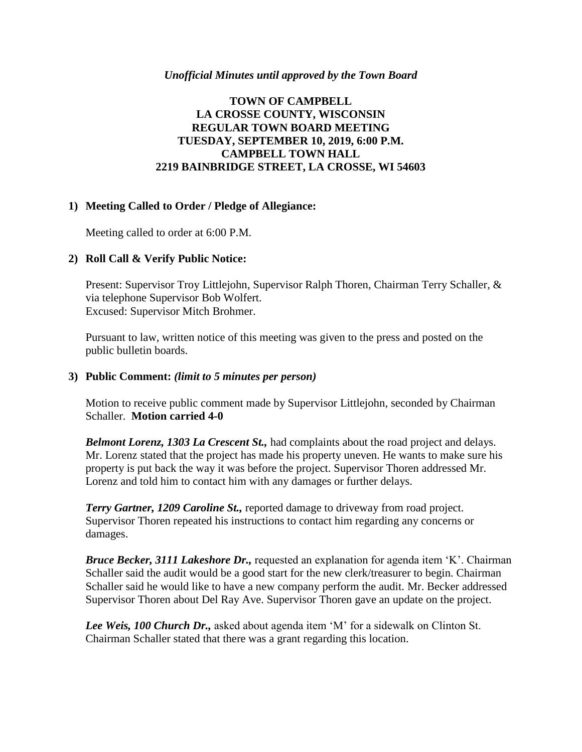#### *Unofficial Minutes until approved by the Town Board*

# **TOWN OF CAMPBELL LA CROSSE COUNTY, WISCONSIN REGULAR TOWN BOARD MEETING TUESDAY, SEPTEMBER 10, 2019, 6:00 P.M. CAMPBELL TOWN HALL 2219 BAINBRIDGE STREET, LA CROSSE, WI 54603**

#### **1) Meeting Called to Order / Pledge of Allegiance:**

Meeting called to order at 6:00 P.M.

## **2) Roll Call & Verify Public Notice:**

Present: Supervisor Troy Littlejohn, Supervisor Ralph Thoren, Chairman Terry Schaller, & via telephone Supervisor Bob Wolfert. Excused: Supervisor Mitch Brohmer.

Pursuant to law, written notice of this meeting was given to the press and posted on the public bulletin boards.

#### **3) Public Comment:** *(limit to 5 minutes per person)*

Motion to receive public comment made by Supervisor Littlejohn, seconded by Chairman Schaller. **Motion carried 4-0**

*Belmont Lorenz, 1303 La Crescent St.,* had complaints about the road project and delays. Mr. Lorenz stated that the project has made his property uneven. He wants to make sure his property is put back the way it was before the project. Supervisor Thoren addressed Mr. Lorenz and told him to contact him with any damages or further delays.

*Terry Gartner, 1209 Caroline St.,* reported damage to driveway from road project. Supervisor Thoren repeated his instructions to contact him regarding any concerns or damages.

*Bruce Becker, 3111 Lakeshore Dr.,* requested an explanation for agenda item 'K'. Chairman Schaller said the audit would be a good start for the new clerk/treasurer to begin. Chairman Schaller said he would like to have a new company perform the audit. Mr. Becker addressed Supervisor Thoren about Del Ray Ave. Supervisor Thoren gave an update on the project.

*Lee Weis, 100 Church Dr.,* asked about agenda item 'M' for a sidewalk on Clinton St. Chairman Schaller stated that there was a grant regarding this location.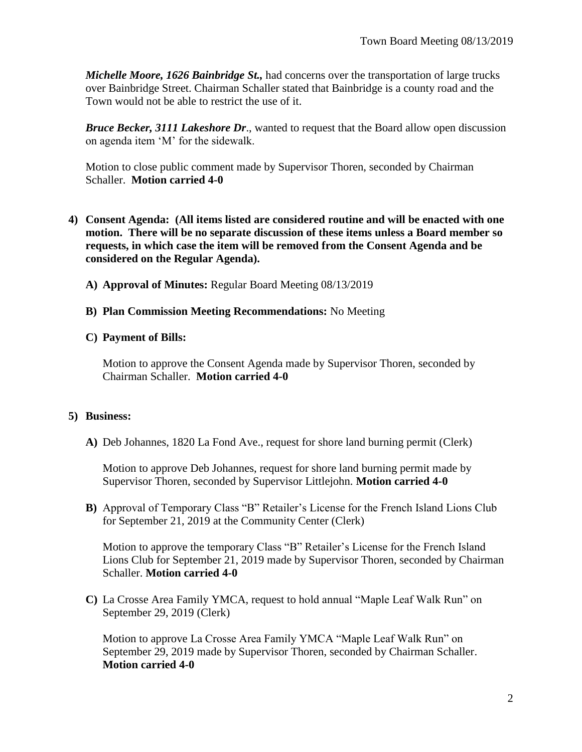*Michelle Moore, 1626 Bainbridge St.,* had concerns over the transportation of large trucks over Bainbridge Street. Chairman Schaller stated that Bainbridge is a county road and the Town would not be able to restrict the use of it.

*Bruce Becker, 3111 Lakeshore Dr*., wanted to request that the Board allow open discussion on agenda item 'M' for the sidewalk.

Motion to close public comment made by Supervisor Thoren, seconded by Chairman Schaller. **Motion carried 4-0**

- **4) Consent Agenda: (All items listed are considered routine and will be enacted with one motion. There will be no separate discussion of these items unless a Board member so requests, in which case the item will be removed from the Consent Agenda and be considered on the Regular Agenda).**
	- **A) Approval of Minutes:** Regular Board Meeting 08/13/2019
	- **B) Plan Commission Meeting Recommendations:** No Meeting
	- **C) Payment of Bills:**

Motion to approve the Consent Agenda made by Supervisor Thoren, seconded by Chairman Schaller. **Motion carried 4-0**

# **5) Business:**

**A)** Deb Johannes, 1820 La Fond Ave., request for shore land burning permit (Clerk)

Motion to approve Deb Johannes, request for shore land burning permit made by Supervisor Thoren, seconded by Supervisor Littlejohn. **Motion carried 4-0**

**B)** Approval of Temporary Class "B" Retailer's License for the French Island Lions Club for September 21, 2019 at the Community Center (Clerk)

Motion to approve the temporary Class "B" Retailer's License for the French Island Lions Club for September 21, 2019 made by Supervisor Thoren, seconded by Chairman Schaller. **Motion carried 4-0**

**C)** La Crosse Area Family YMCA, request to hold annual "Maple Leaf Walk Run" on September 29, 2019 (Clerk)

Motion to approve La Crosse Area Family YMCA "Maple Leaf Walk Run" on September 29, 2019 made by Supervisor Thoren, seconded by Chairman Schaller. **Motion carried 4-0**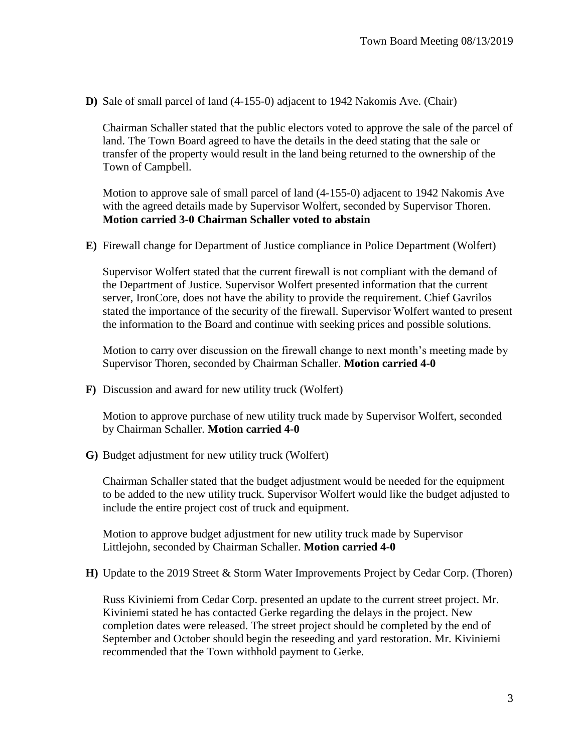**D)** Sale of small parcel of land (4-155-0) adjacent to 1942 Nakomis Ave. (Chair)

Chairman Schaller stated that the public electors voted to approve the sale of the parcel of land. The Town Board agreed to have the details in the deed stating that the sale or transfer of the property would result in the land being returned to the ownership of the Town of Campbell.

Motion to approve sale of small parcel of land (4-155-0) adjacent to 1942 Nakomis Ave with the agreed details made by Supervisor Wolfert, seconded by Supervisor Thoren. **Motion carried 3-0 Chairman Schaller voted to abstain**

**E)** Firewall change for Department of Justice compliance in Police Department (Wolfert)

Supervisor Wolfert stated that the current firewall is not compliant with the demand of the Department of Justice. Supervisor Wolfert presented information that the current server, IronCore, does not have the ability to provide the requirement. Chief Gavrilos stated the importance of the security of the firewall. Supervisor Wolfert wanted to present the information to the Board and continue with seeking prices and possible solutions.

Motion to carry over discussion on the firewall change to next month's meeting made by Supervisor Thoren, seconded by Chairman Schaller. **Motion carried 4-0**

**F)** Discussion and award for new utility truck (Wolfert)

Motion to approve purchase of new utility truck made by Supervisor Wolfert, seconded by Chairman Schaller. **Motion carried 4-0**

**G)** Budget adjustment for new utility truck (Wolfert)

Chairman Schaller stated that the budget adjustment would be needed for the equipment to be added to the new utility truck. Supervisor Wolfert would like the budget adjusted to include the entire project cost of truck and equipment.

Motion to approve budget adjustment for new utility truck made by Supervisor Littlejohn, seconded by Chairman Schaller. **Motion carried 4-0**

**H)** Update to the 2019 Street & Storm Water Improvements Project by Cedar Corp. (Thoren)

Russ Kiviniemi from Cedar Corp. presented an update to the current street project. Mr. Kiviniemi stated he has contacted Gerke regarding the delays in the project. New completion dates were released. The street project should be completed by the end of September and October should begin the reseeding and yard restoration. Mr. Kiviniemi recommended that the Town withhold payment to Gerke.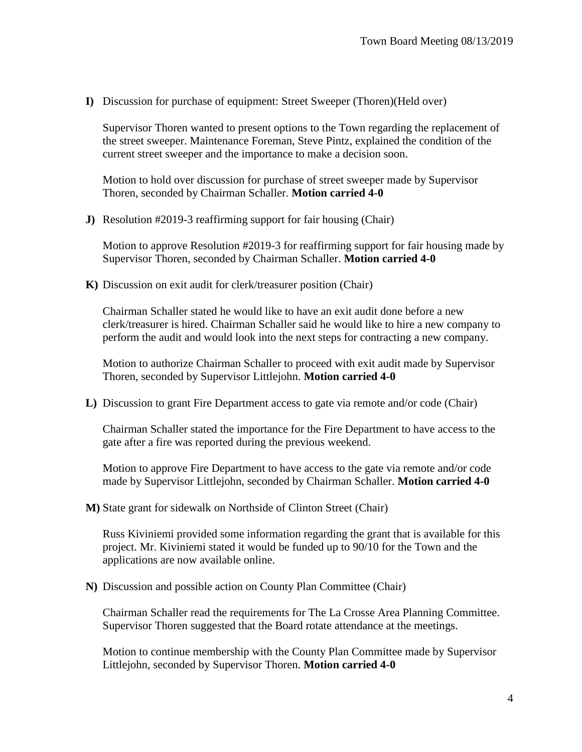**I)** Discussion for purchase of equipment: Street Sweeper (Thoren)(Held over)

Supervisor Thoren wanted to present options to the Town regarding the replacement of the street sweeper. Maintenance Foreman, Steve Pintz, explained the condition of the current street sweeper and the importance to make a decision soon.

Motion to hold over discussion for purchase of street sweeper made by Supervisor Thoren, seconded by Chairman Schaller. **Motion carried 4-0**

**J)** Resolution #2019-3 reaffirming support for fair housing (Chair)

Motion to approve Resolution #2019-3 for reaffirming support for fair housing made by Supervisor Thoren, seconded by Chairman Schaller. **Motion carried 4-0**

**K)** Discussion on exit audit for clerk/treasurer position (Chair)

Chairman Schaller stated he would like to have an exit audit done before a new clerk/treasurer is hired. Chairman Schaller said he would like to hire a new company to perform the audit and would look into the next steps for contracting a new company.

Motion to authorize Chairman Schaller to proceed with exit audit made by Supervisor Thoren, seconded by Supervisor Littlejohn. **Motion carried 4-0**

**L)** Discussion to grant Fire Department access to gate via remote and/or code (Chair)

Chairman Schaller stated the importance for the Fire Department to have access to the gate after a fire was reported during the previous weekend.

Motion to approve Fire Department to have access to the gate via remote and/or code made by Supervisor Littlejohn, seconded by Chairman Schaller. **Motion carried 4-0**

**M)** State grant for sidewalk on Northside of Clinton Street (Chair)

Russ Kiviniemi provided some information regarding the grant that is available for this project. Mr. Kiviniemi stated it would be funded up to 90/10 for the Town and the applications are now available online.

**N)** Discussion and possible action on County Plan Committee (Chair)

Chairman Schaller read the requirements for The La Crosse Area Planning Committee. Supervisor Thoren suggested that the Board rotate attendance at the meetings.

Motion to continue membership with the County Plan Committee made by Supervisor Littlejohn, seconded by Supervisor Thoren. **Motion carried 4-0**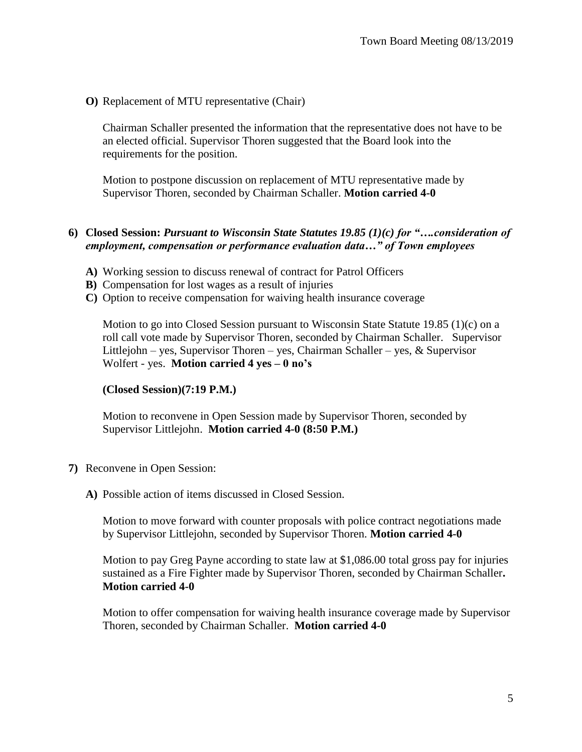**O)** Replacement of MTU representative (Chair)

Chairman Schaller presented the information that the representative does not have to be an elected official. Supervisor Thoren suggested that the Board look into the requirements for the position.

Motion to postpone discussion on replacement of MTU representative made by Supervisor Thoren, seconded by Chairman Schaller. **Motion carried 4-0**

## **6) Closed Session:** *Pursuant to Wisconsin State Statutes 19.85 (1)(c) for "….consideration of employment, compensation or performance evaluation data…" of Town employees*

- **A)** Working session to discuss renewal of contract for Patrol Officers
- **B)** Compensation for lost wages as a result of injuries
- **C)** Option to receive compensation for waiving health insurance coverage

Motion to go into Closed Session pursuant to Wisconsin State Statute 19.85 (1)(c) on a roll call vote made by Supervisor Thoren, seconded by Chairman Schaller. Supervisor Littlejohn – yes, Supervisor Thoren – yes, Chairman Schaller – yes,  $\&$  Supervisor Wolfert - yes. **Motion carried 4 yes – 0 no's**

#### **(Closed Session)(7:19 P.M.)**

Motion to reconvene in Open Session made by Supervisor Thoren, seconded by Supervisor Littlejohn. **Motion carried 4-0 (8:50 P.M.)**

- **7)** Reconvene in Open Session:
	- **A)** Possible action of items discussed in Closed Session.

Motion to move forward with counter proposals with police contract negotiations made by Supervisor Littlejohn, seconded by Supervisor Thoren. **Motion carried 4-0**

Motion to pay Greg Payne according to state law at \$1,086.00 total gross pay for injuries sustained as a Fire Fighter made by Supervisor Thoren, seconded by Chairman Schaller**. Motion carried 4-0**

Motion to offer compensation for waiving health insurance coverage made by Supervisor Thoren, seconded by Chairman Schaller. **Motion carried 4-0**